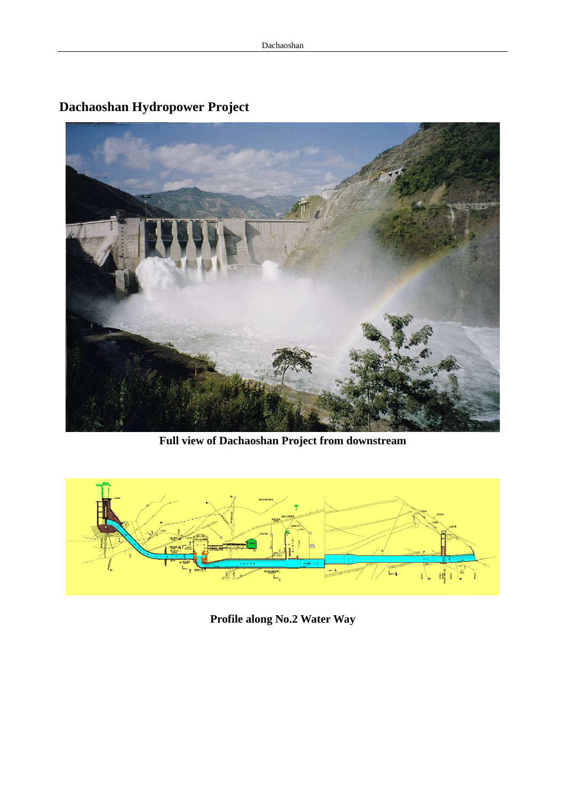

## **Dachaoshan Hydropower Project**

**Full view of Dachaoshan Project from downstream** 



**Profile along No.2 Water Way**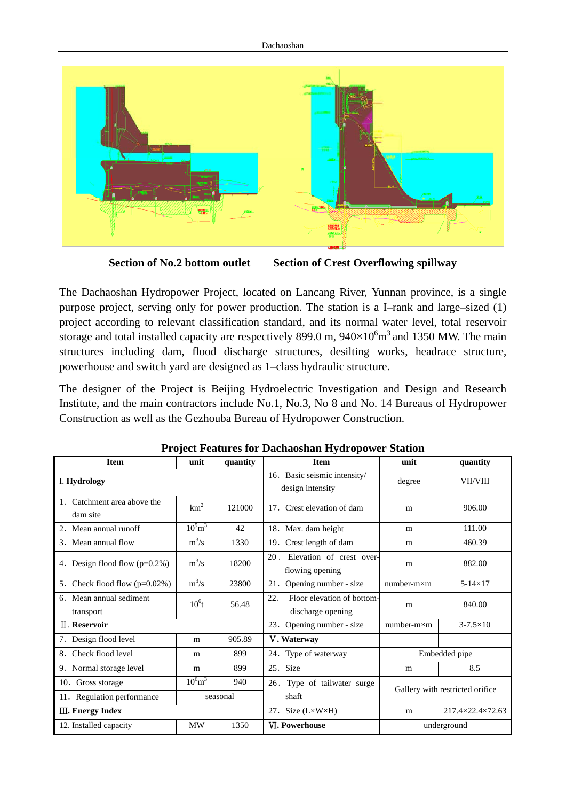

**Section of No.2 bottom outlet Section of Crest Overflowing spillway** 

The Dachaoshan Hydropower Project, located on Lancang River, Yunnan province, is a single purpose project, serving only for power production. The station is a I–rank and large–sized (1) project according to relevant classification standard, and its normal water level, total reservoir storage and total installed capacity are respectively 899.0 m,  $940\times10^{6}$  m<sup>3</sup> and 1350 MW. The main structures including dam, flood discharge structures, desilting works, headrace structure, powerhouse and switch yard are designed as 1–class hydraulic structure.

The designer of the Project is Beijing Hydroelectric Investigation and Design and Research Institute, and the main contractors include No.1, No.3, No 8 and No. 14 Bureaus of Hydropower Construction as well as the Gezhouba Bureau of Hydropower Construction.

| <b>Item</b>                             | unit                    | quantity | <b>Item</b>                                            | unit                            | quantity            |
|-----------------------------------------|-------------------------|----------|--------------------------------------------------------|---------------------------------|---------------------|
| I. Hydrology                            |                         |          | 16. Basic seismic intensity/<br>design intensity       | degree                          | VII/VIII            |
| Catchment area above the<br>dam site    | km <sup>2</sup>         | 121000   | 17. Crest elevation of dam                             | m                               | 906.00              |
| 2. Mean annual runoff                   | $10^{9}$ m <sup>3</sup> | 42       | 18. Max. dam height                                    | m                               | 111.00              |
| 3. Mean annual flow                     | $m^3/s$                 | 1330     | 19. Crest length of dam                                | m                               | 460.39              |
| Design flood flow $(p=0.2\%)$<br>4.     | $m^3/s$                 | 18200    | 20. Elevation of crest over-<br>flowing opening        | m                               | 882.00              |
| 5. Check flood flow $(p=0.02\%)$        | $m^3/s$                 | 23800    | Opening number - size<br>21.                           | $number-m \times m$             | $5-14\times17$      |
| Mean annual sediment<br>6.<br>transport | $10^6$ t                | 56.48    | Floor elevation of bottom-<br>22.<br>discharge opening | m                               | 840.00              |
| <b>II.</b> Reservoir                    |                         |          | 23. Opening number - size                              | $number-m \times m$             | $3 - 7.5 \times 10$ |
| 7. Design flood level                   | m                       | 905.89   | V. Waterway                                            |                                 |                     |
| Check flood level<br>8.                 | m                       | 899      | 24. Type of waterway                                   | Embedded pipe                   |                     |
| 9. Normal storage level                 | m                       | 899      | 25. Size                                               | m                               | 8.5                 |
| 10. Gross storage                       | $10^{6}$ m <sup>3</sup> | 940      | 26. Type of tailwater surge                            | Gallery with restricted orifice |                     |
| 11. Regulation performance              |                         | seasonal | shaft                                                  |                                 |                     |
| <b>III.</b> Energy Index                |                         |          | 27. Size $(L \times W \times H)$                       | m                               | 217.4×22.4×72.63    |
| 12. Installed capacity                  | <b>MW</b>               | 1350     | <b>VI. Powerhouse</b>                                  | underground                     |                     |

## **Project Features for Dachaoshan Hydropower Station**